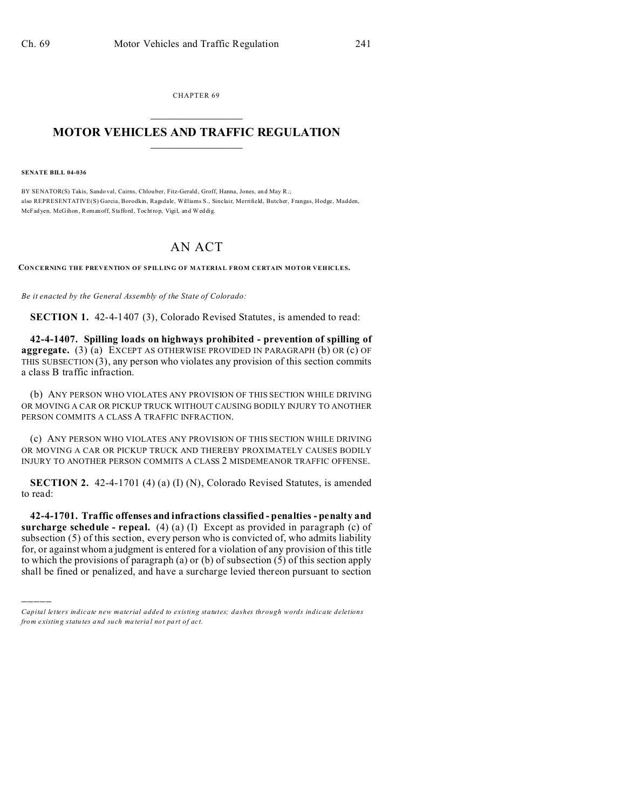CHAPTER 69  $\overline{\phantom{a}}$  , where  $\overline{\phantom{a}}$ 

## **MOTOR VEHICLES AND TRAFFIC REGULATION**  $\frac{1}{2}$  ,  $\frac{1}{2}$  ,  $\frac{1}{2}$  ,  $\frac{1}{2}$  ,  $\frac{1}{2}$  ,  $\frac{1}{2}$  ,  $\frac{1}{2}$

**SENATE BILL 04-036**

)))))

BY SENATOR(S) Takis, Sando val, Cairns, Chlou ber, Fitz-Gerald, Groff, Hanna, Jones, and May R.; also REPRESENTATIVE(S) Garcia, Borodkin, Ragsdale, Williams S., Sinclair, Merrifield, Butcher, Frangas, Hodge, Madden, McFadyen, McGihon , Romanoff, Stafford, Tochtrop, Vigil, and Weddig.

## AN ACT

**CONCERNING THE PREVENTION OF SPILLING OF MATERIAL FROM CERTAIN MOTOR VEHICLES.**

*Be it enacted by the General Assembly of the State of Colorado:*

**SECTION 1.** 42-4-1407 (3), Colorado Revised Statutes, is amended to read:

**42-4-1407. Spilling loads on highways prohibited - prevention of spilling of aggregate.** (3) (a) EXCEPT AS OTHERWISE PROVIDED IN PARAGRAPH (b) OR (c) OF THIS SUBSECTION  $(3)$ , any person who violates any provision of this section commits a class B traffic infraction.

(b) ANY PERSON WHO VIOLATES ANY PROVISION OF THIS SECTION WHILE DRIVING OR MOVING A CAR OR PICKUP TRUCK WITHOUT CAUSING BODILY INJURY TO ANOTHER PERSON COMMITS A CLASS A TRAFFIC INFRACTION.

(c) ANY PERSON WHO VIOLATES ANY PROVISION OF THIS SECTION WHILE DRIVING OR MOVING A CAR OR PICKUP TRUCK AND THEREBY PROXIMATELY CAUSES BODILY INJURY TO ANOTHER PERSON COMMITS A CLASS 2 MISDEMEANOR TRAFFIC OFFENSE.

**SECTION 2.** 42-4-1701 (4) (a) (I) (N), Colorado Revised Statutes, is amended to read:

**42-4-1701. Traffic offenses and infractions classified - penalties - penalty and surcharge schedule - repeal.** (4) (a) (I) Except as provided in paragraph (c) of subsection (5) of this section, every person who is convicted of, who admits liability for, or against whom a judgment is entered for a violation of any provision of this title to which the provisions of paragraph (a) or (b) of subsection (5) of this section apply shall be fined or penalized, and have a surcharge levied thereon pursuant to section

*Capital letters indicate new material added to existing statutes; dashes through words indicate deletions from e xistin g statu tes a nd such ma teria l no t pa rt of ac t.*